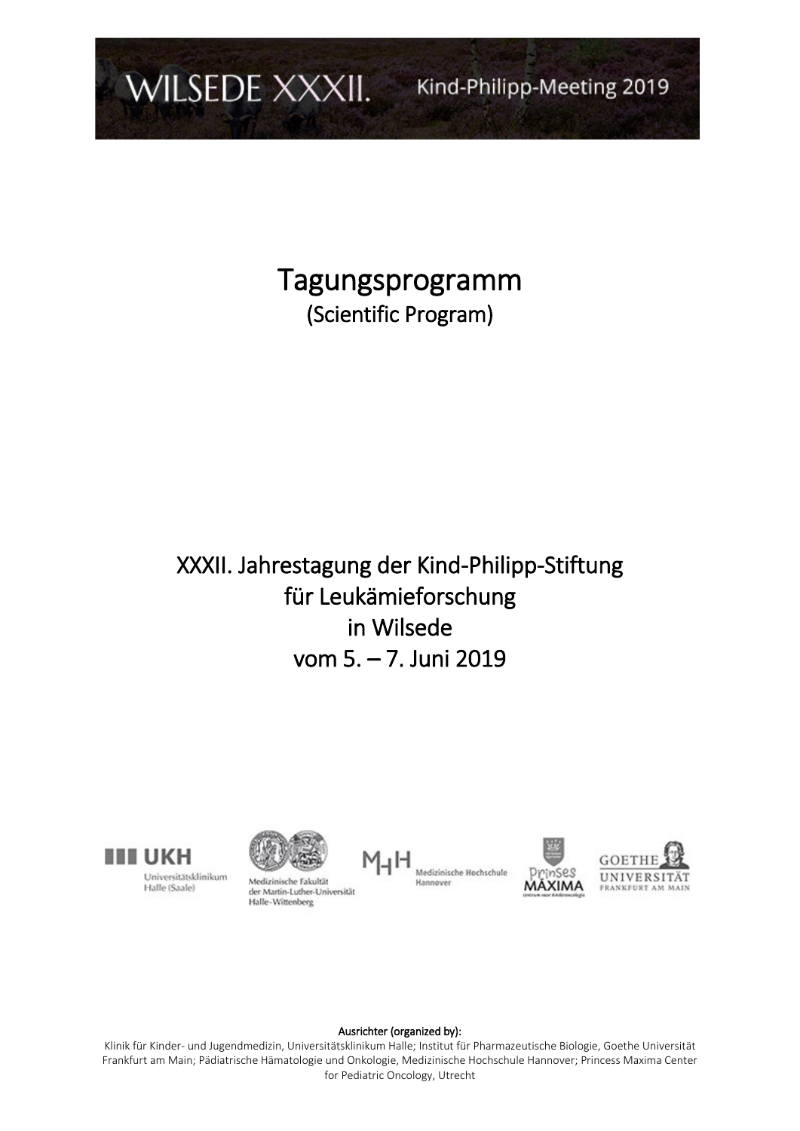

Tagungsprogramm (Scientific Program)

# XXXII. Jahrestagung der Kind-Philipp-Stiftung für Leukämieforschung in Wilsede vom 5. – 7. Juni 2019



Universitätsklinikum Halle (Saale)



Medizinische Fakultät der Martin-Luther-Universität<br>Halle-Wittenberg







#### Ausrichter (organized by):

Klinik für Kinder- und Jugendmedizin, Universitätsklinikum Halle; Institut für Pharmazeutische Biologie, Goethe Universität Frankfurt am Main; Pädiatrische Hämatologie und Onkologie, Medizinische Hochschule Hannover; Princess Maxima Center for Pediatric Oncology, Utrecht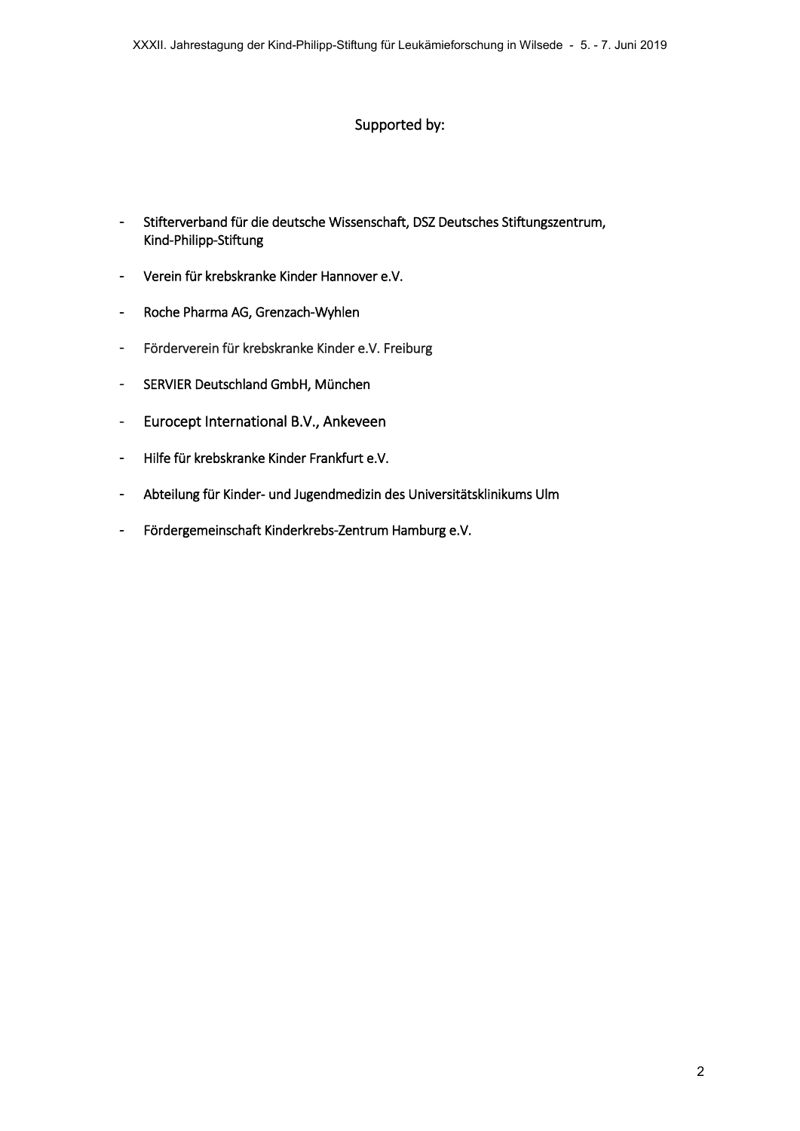#### Supported by:

- Stifterverband für die deutsche Wissenschaft, DSZ Deutsches Stiftungszentrum, Kind-Philipp-Stiftung
- Verein für krebskranke Kinder Hannover e.V.
- Roche Pharma AG, Grenzach-Wyhlen
- Förderverein für krebskranke Kinder e.V. Freiburg
- SERVIER Deutschland GmbH, München
- Eurocept International B.V., Ankeveen
- Hilfe für krebskranke Kinder Frankfurt e.V.
- Abteilung für Kinder- und Jugendmedizin des Universitätsklinikums Ulm
- Fördergemeinschaft Kinderkrebs-Zentrum Hamburg e.V.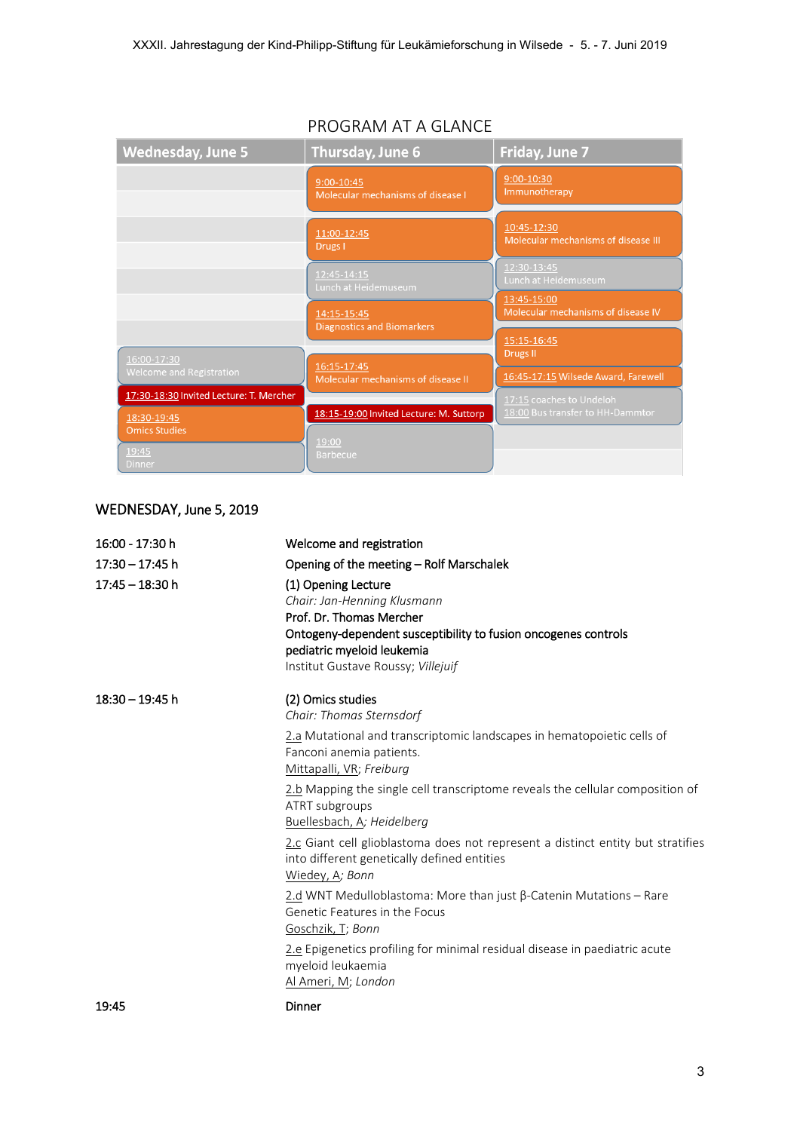| <b>Wednesday, June 5</b>                               | Thursday, June 6                                  | Friday, June 7                                               |
|--------------------------------------------------------|---------------------------------------------------|--------------------------------------------------------------|
|                                                        | 9:00-10:45<br>Molecular mechanisms of disease I   | $9:00 - 10:30$<br>Immunotherapy                              |
|                                                        | 11:00-12:45<br>Drugs I                            | 10:45-12:30<br>Molecular mechanisms of disease III           |
|                                                        | 12:45-14:15<br>Lunch at Heidemuseum               | 12:30-13:45<br>Lunch at Heidemuseum                          |
|                                                        | 14:15-15:45                                       | 13:45-15:00<br>Molecular mechanisms of disease IV            |
| 16:00-17:30                                            | <b>Diagnostics and Biomarkers</b>                 | 15:15-16:45<br>Drugs II                                      |
| Welcome and Registration                               | 16:15-17:45<br>Molecular mechanisms of disease II | 16:45-17:15 Wilsede Award, Farewell                          |
| 17:30-18:30 Invited Lecture: T. Mercher<br>18:30-19:45 | 18:15-19:00 Invited Lecture: M. Suttorp           | 17:15 coaches to Undeloh<br>18:00 Bus transfer to HH-Dammtor |
| <b>Omics Studies</b><br>19:45                          | 19:00<br><b>Barbecue</b>                          |                                                              |
| <b>Dinner</b>                                          |                                                   |                                                              |

### PROGRAM AT A GLANCE

## WEDNESDAY, June 5, 2019

| 16:00 - 17:30 h   | Welcome and registration                                                                                                                                                                                             |
|-------------------|----------------------------------------------------------------------------------------------------------------------------------------------------------------------------------------------------------------------|
| $17:30 - 17:45$ h | Opening of the meeting - Rolf Marschalek                                                                                                                                                                             |
| $17:45 - 18:30$ h | (1) Opening Lecture<br>Chair: Jan-Henning Klusmann<br>Prof. Dr. Thomas Mercher<br>Ontogeny-dependent susceptibility to fusion oncogenes controls<br>pediatric myeloid leukemia<br>Institut Gustave Roussy; Villejuif |
| $18:30 - 19:45$ h | (2) Omics studies<br>Chair: Thomas Sternsdorf                                                                                                                                                                        |
|                   | 2.a Mutational and transcriptomic landscapes in hematopoietic cells of<br>Fanconi anemia patients.<br>Mittapalli, VR; Freiburg                                                                                       |
|                   | 2.b Mapping the single cell transcriptome reveals the cellular composition of<br>ATRT subgroups<br>Buellesbach, A; Heidelberg                                                                                        |
|                   | 2.c Giant cell glioblastoma does not represent a distinct entity but stratifies<br>into different genetically defined entities<br>Wiedey, A; Bonn                                                                    |
|                   | 2.d WNT Medulloblastoma: More than just $\beta$ -Catenin Mutations - Rare<br>Genetic Features in the Focus<br>Goschzik, T; Bonn                                                                                      |
|                   | 2.e Epigenetics profiling for minimal residual disease in paediatric acute<br>myeloid leukaemia<br>Al Ameri, M; London                                                                                               |
| 19:45             | Dinner                                                                                                                                                                                                               |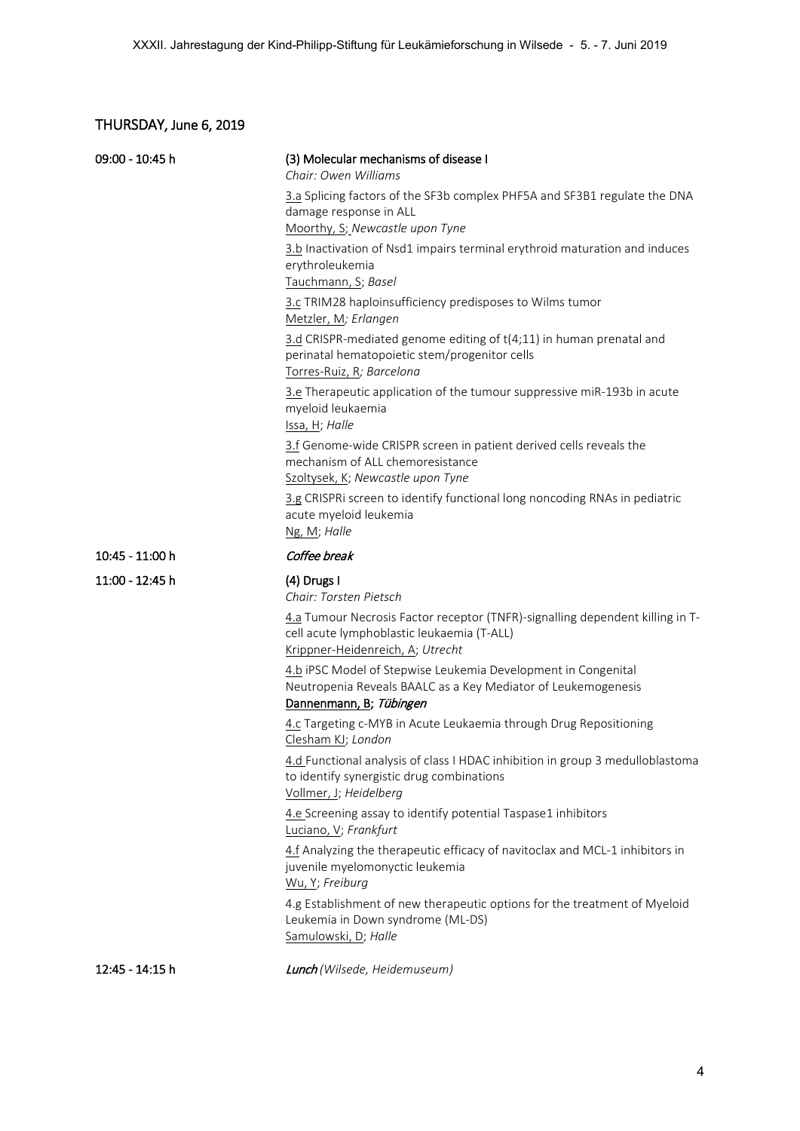### THURSDAY, June 6, 2019

| 09:00 - 10:45 h | (3) Molecular mechanisms of disease I<br>Chair: Owen Williams                                                                                                   |
|-----------------|-----------------------------------------------------------------------------------------------------------------------------------------------------------------|
|                 | 3.a Splicing factors of the SF3b complex PHF5A and SF3B1 regulate the DNA<br>damage response in ALL<br>Moorthy, S; Newcastle upon Tyne                          |
|                 | 3.b Inactivation of Nsd1 impairs terminal erythroid maturation and induces<br>erythroleukemia<br>Tauchmann, S; Basel                                            |
|                 | 3.c TRIM28 haploinsufficiency predisposes to Wilms tumor<br>Metzler, M; Erlangen                                                                                |
|                 | 3.d CRISPR-mediated genome editing of t(4;11) in human prenatal and<br>perinatal hematopoietic stem/progenitor cells<br>Torres-Ruiz, R; Barcelona               |
|                 | 3.e Therapeutic application of the tumour suppressive miR-193b in acute<br>myeloid leukaemia<br>Issa, H; Halle                                                  |
|                 | 3.f Genome-wide CRISPR screen in patient derived cells reveals the<br>mechanism of ALL chemoresistance<br>Szoltysek, K; Newcastle upon Tyne                     |
|                 | 3.g CRISPRi screen to identify functional long noncoding RNAs in pediatric<br>acute myeloid leukemia<br>Ng, M; Halle                                            |
| 10:45 - 11:00 h | Coffee break                                                                                                                                                    |
|                 |                                                                                                                                                                 |
| 11:00 - 12:45 h | (4) Drugs I<br>Chair: Torsten Pietsch                                                                                                                           |
|                 | 4.a Tumour Necrosis Factor receptor (TNFR)-signalling dependent killing in T-<br>cell acute lymphoblastic leukaemia (T-ALL)<br>Krippner-Heidenreich, A; Utrecht |
|                 | 4.b iPSC Model of Stepwise Leukemia Development in Congenital<br>Neutropenia Reveals BAALC as a Key Mediator of Leukemogenesis<br>Dannenmann, B; Tübingen       |
|                 | 4.c Targeting c-MYB in Acute Leukaemia through Drug Repositioning<br>Clesham KJ; London                                                                         |
|                 | 4.d Functional analysis of class I HDAC inhibition in group 3 medulloblastoma<br>to identify synergistic drug combinations<br>Vollmer, J; Heidelberg            |
|                 | 4.e Screening assay to identify potential Taspase1 inhibitors<br>Luciano, V; Frankfurt                                                                          |
|                 | 4.f Analyzing the therapeutic efficacy of navitoclax and MCL-1 inhibitors in<br>juvenile myelomonyctic leukemia<br>Wu, Y; Freiburg                              |
|                 | 4.g Establishment of new therapeutic options for the treatment of Myeloid<br>Leukemia in Down syndrome (ML-DS)<br>Samulowski, D; Halle                          |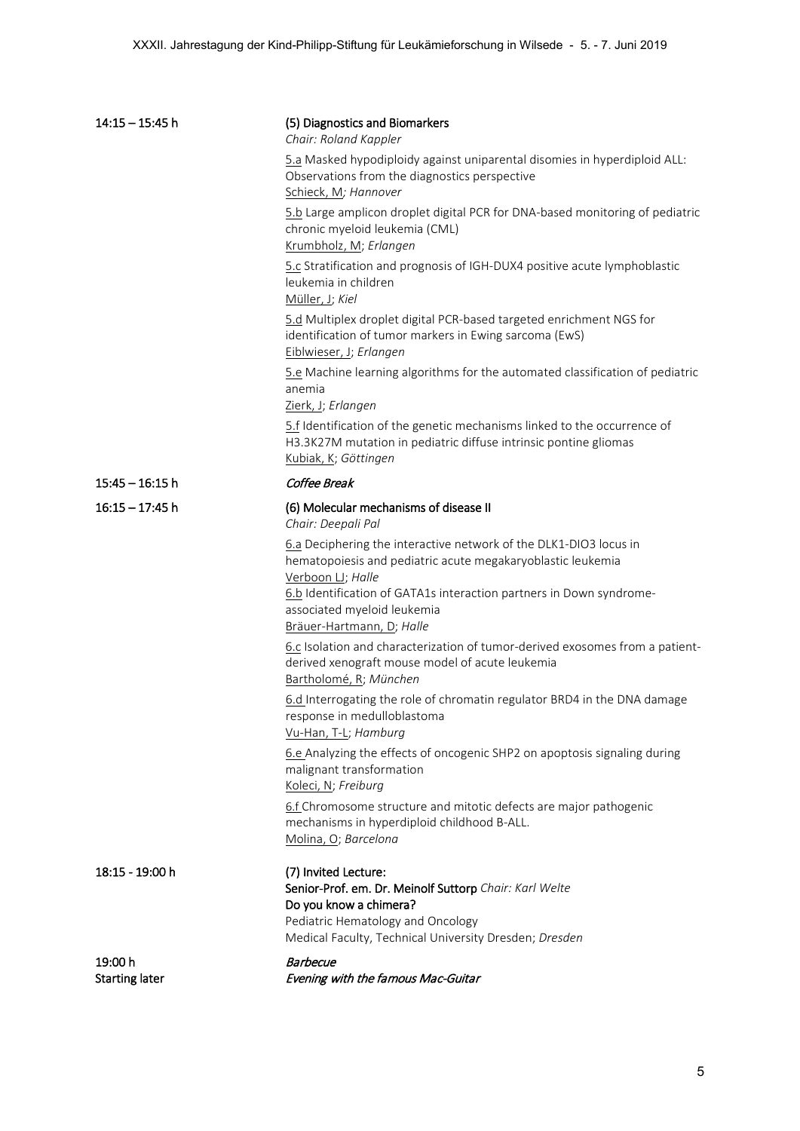| $14:15 - 15:45$ h                | (5) Diagnostics and Biomarkers<br>Chair: Roland Kappler                                                                                                                                                                                                                                  |
|----------------------------------|------------------------------------------------------------------------------------------------------------------------------------------------------------------------------------------------------------------------------------------------------------------------------------------|
|                                  | 5.a Masked hypodiploidy against uniparental disomies in hyperdiploid ALL:<br>Observations from the diagnostics perspective<br>Schieck, M; Hannover                                                                                                                                       |
|                                  | 5.b Large amplicon droplet digital PCR for DNA-based monitoring of pediatric<br>chronic myeloid leukemia (CML)<br>Krumbholz, M; Erlangen                                                                                                                                                 |
|                                  | 5.c Stratification and prognosis of IGH-DUX4 positive acute lymphoblastic<br>leukemia in children<br>Müller, J; Kiel                                                                                                                                                                     |
|                                  | 5.d Multiplex droplet digital PCR-based targeted enrichment NGS for<br>identification of tumor markers in Ewing sarcoma (EwS)<br>Eiblwieser, J; Erlangen                                                                                                                                 |
|                                  | 5.e Machine learning algorithms for the automated classification of pediatric<br>anemia<br>Zierk, J; Erlangen                                                                                                                                                                            |
|                                  | 5.f Identification of the genetic mechanisms linked to the occurrence of<br>H3.3K27M mutation in pediatric diffuse intrinsic pontine gliomas<br>Kubiak, K; Göttingen                                                                                                                     |
| $15:45 - 16:15$ h                | Coffee Break                                                                                                                                                                                                                                                                             |
| $16:15 - 17:45$ h                | (6) Molecular mechanisms of disease II<br>Chair: Deepali Pal                                                                                                                                                                                                                             |
|                                  | 6.a Deciphering the interactive network of the DLK1-DIO3 locus in<br>hematopoiesis and pediatric acute megakaryoblastic leukemia<br>Verboon LJ; Halle<br>6.b Identification of GATA1s interaction partners in Down syndrome-<br>associated myeloid leukemia<br>Bräuer-Hartmann, D; Halle |
|                                  | 6.c Isolation and characterization of tumor-derived exosomes from a patient-<br>derived xenograft mouse model of acute leukemia<br>Bartholomé, R; München                                                                                                                                |
|                                  | 6.d Interrogating the role of chromatin regulator BRD4 in the DNA damage<br>response in medulloblastoma<br>Vu-Han, T-L; Hamburg                                                                                                                                                          |
|                                  | 6.e Analyzing the effects of oncogenic SHP2 on apoptosis signaling during<br>malignant transformation<br>Koleci, N; Freiburg                                                                                                                                                             |
|                                  | 6.f Chromosome structure and mitotic defects are major pathogenic<br>mechanisms in hyperdiploid childhood B-ALL.<br>Molina, O; Barcelona                                                                                                                                                 |
| 18:15 - 19:00 h                  | (7) Invited Lecture:<br>Senior-Prof. em. Dr. Meinolf Suttorp Chair: Karl Welte<br>Do you know a chimera?<br>Pediatric Hematology and Oncology<br>Medical Faculty, Technical University Dresden; Dresden                                                                                  |
| 19:00 h<br><b>Starting later</b> | <b>Barbecue</b><br>Evening with the famous Mac-Guitar                                                                                                                                                                                                                                    |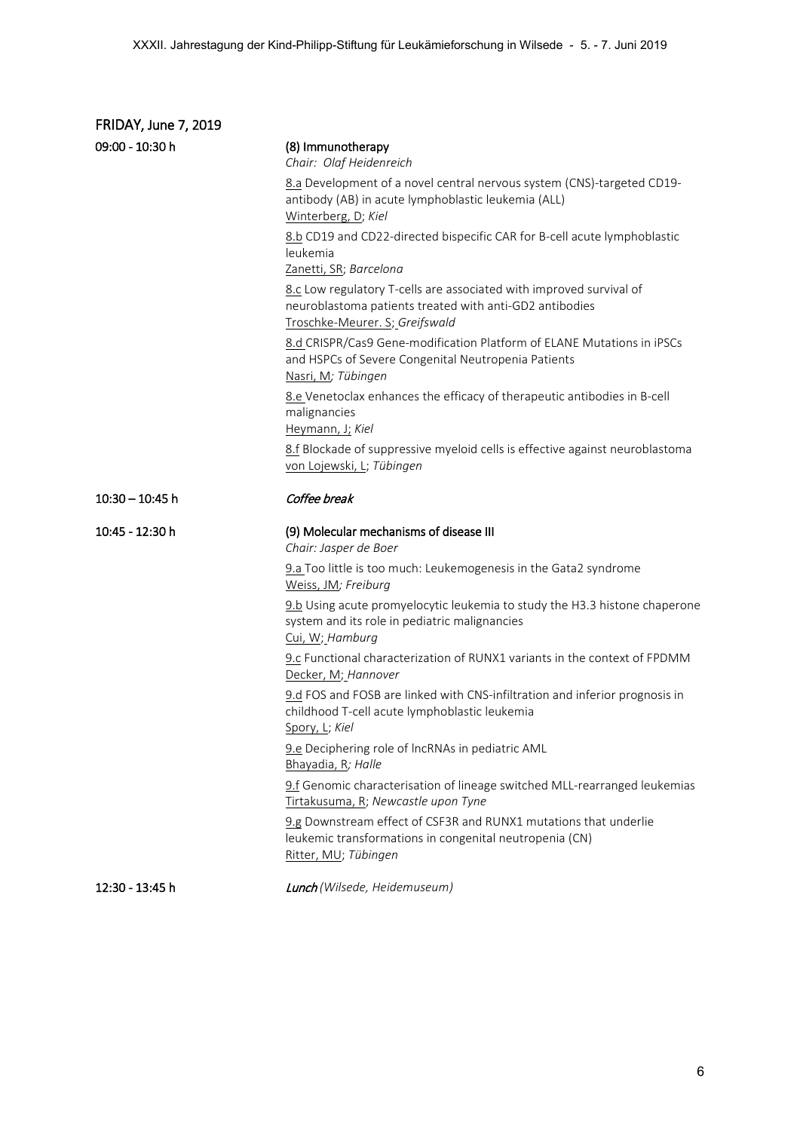| <b>FRIDAY, June 7, 2019</b> |                                                                                                                                                                  |
|-----------------------------|------------------------------------------------------------------------------------------------------------------------------------------------------------------|
| 09:00 - 10:30 h             | (8) Immunotherapy<br>Chair: Olaf Heidenreich                                                                                                                     |
|                             | 8.a Development of a novel central nervous system (CNS)-targeted CD19-<br>antibody (AB) in acute lymphoblastic leukemia (ALL)<br>Winterberg, D; Kiel             |
|                             | 8.b CD19 and CD22-directed bispecific CAR for B-cell acute lymphoblastic<br>leukemia<br>Zanetti, SR; Barcelona                                                   |
|                             | 8.c Low regulatory T-cells are associated with improved survival of<br>neuroblastoma patients treated with anti-GD2 antibodies<br>Troschke-Meurer. S; Greifswald |
|                             | 8.d CRISPR/Cas9 Gene-modification Platform of ELANE Mutations in iPSCs<br>and HSPCs of Severe Congenital Neutropenia Patients<br>Nasri, M; Tübingen              |
|                             | 8.e Venetoclax enhances the efficacy of therapeutic antibodies in B-cell<br>malignancies<br>Heymann, J; Kiel                                                     |
|                             | 8.f Blockade of suppressive myeloid cells is effective against neuroblastoma<br>von Lojewski, L; Tübingen                                                        |
| $10:30 - 10:45$ h           | Coffee break                                                                                                                                                     |
| 10:45 - 12:30 h             | (9) Molecular mechanisms of disease III<br>Chair: Jasper de Boer                                                                                                 |
|                             | 9.a Too little is too much: Leukemogenesis in the Gata2 syndrome<br>Weiss, JM; Freiburg                                                                          |
|                             | 9.b Using acute promyelocytic leukemia to study the H3.3 histone chaperone<br>system and its role in pediatric malignancies<br>Cui, W; Hamburg                   |
|                             | 9.c Functional characterization of RUNX1 variants in the context of FPDMM<br>Decker, M; Hannover                                                                 |
|                             | 9.d FOS and FOSB are linked with CNS-infiltration and inferior prognosis in<br>childhood T-cell acute lymphoblastic leukemia<br>Spory, L; Kiel                   |
|                             | 9.e Deciphering role of IncRNAs in pediatric AML<br>Bhayadia, R; Halle                                                                                           |
|                             | 9.f Genomic characterisation of lineage switched MLL-rearranged leukemias<br>Tirtakusuma, R; Newcastle upon Tyne                                                 |
|                             | 9.g Downstream effect of CSF3R and RUNX1 mutations that underlie<br>leukemic transformations in congenital neutropenia (CN)<br>Ritter, MU; Tübingen              |
|                             |                                                                                                                                                                  |

12:30 - 13:45 h Lunch *(Wilsede, Heidemuseum)*